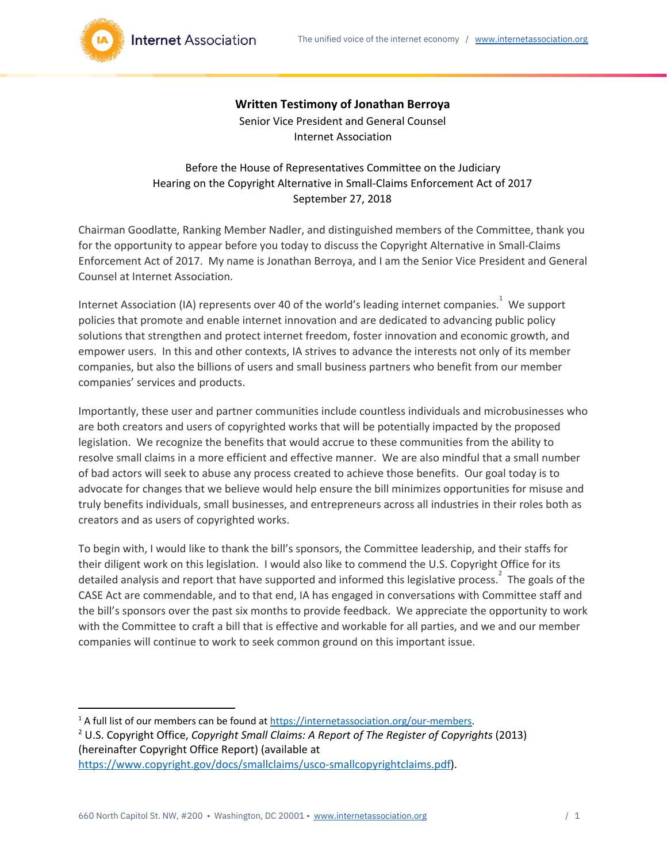

## **Written Testimony of Jonathan Berroya**

Senior Vice President and General Counsel Internet Association

## Before the House of Representatives Committee on the Judiciary Hearing on the Copyright Alternative in Small-Claims Enforcement Act of 2017 September 27, 2018

Chairman Goodlatte, Ranking Member Nadler, and distinguished members of the Committee, thank you for the opportunity to appear before you today to discuss the Copyright Alternative in Small-Claims Enforcement Act of 2017. My name is Jonathan Berroya, and I am the Senior Vice President and General Counsel at Internet Association.

Internet Association (IA) represents over 40 of the world's leading internet companies.  $\overline{1}$  We support policies that promote and enable internet innovation and are dedicated to advancing public policy solutions that strengthen and protect internet freedom, foster innovation and economic growth, and empower users. In this and other contexts, IA strives to advance the interests not only of its member companies, but also the billions of users and small business partners who benefit from our member companies' services and products.

Importantly, these user and partner communities include countless individuals and microbusinesses who are both creators and users of copyrighted works that will be potentially impacted by the proposed legislation. We recognize the benefits that would accrue to these communities from the ability to resolve small claims in a more efficient and effective manner. We are also mindful that a small number of bad actors will seek to abuse any process created to achieve those benefits. Our goal today is to advocate for changes that we believe would help ensure the bill minimizes opportunities for misuse and truly benefits individuals, small businesses, and entrepreneurs across all industries in their roles both as creators and as users of copyrighted works.

To begin with, I would like to thank the bill's sponsors, the Committee leadership, and their staffs for their diligent work on this legislation. I would also like to commend the U.S. Copyright Office for its detailed analysis and report that have supported and informed this legislative process.<sup>2</sup> The goals of the CASE Act are commendable, and to that end, IA has engaged in conversations with Committee staff and the bill's sponsors over the past six months to provide feedback. We appreciate the opportunity to work with the Committee to craft a bill that is effective and workable for all parties, and we and our member companies will continue to work to seek common ground on this important issue.

 $1$  A full list of our members can be found at [https://internetassociation.org/our-members.](https://internetassociation.org/our-members) <sup>2</sup> U.S. Copyright Office, *Copyright Small Claims: A Report of The Register of Copyrights* (2013) (hereinafter Copyright Office Report) (available at [https://www.copyright.gov/docs/smallclaims/usco-smallcopyrightclaims.pdf\)](https://www.copyright.gov/docs/smallclaims/usco-smallcopyrightclaims.pdf).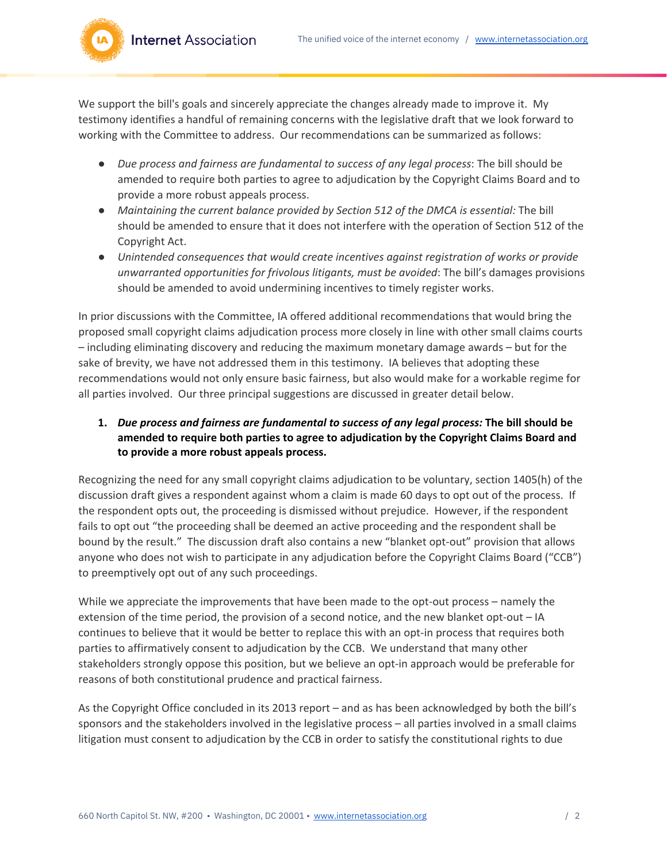**Internet Association** 

We support the bill's goals and sincerely appreciate the changes already made to improve it. My testimony identifies a handful of remaining concerns with the legislative draft that we look forward to working with the Committee to address. Our recommendations can be summarized as follows:

- *Due process and fairness are fundamental to success of any legal process*: The bill should be amended to require both parties to agree to adjudication by the Copyright Claims Board and to provide a more robust appeals process.
- *Maintaining the current balance provided by Section 512 of the DMCA is essential:* The bill should be amended to ensure that it does not interfere with the operation of Section 512 of the Copyright Act.
- *Unintended consequences that would create incentives against registration of works or provide unwarranted opportunities for frivolous litigants, must be avoided*: The bill's damages provisions should be amended to avoid undermining incentives to timely register works.

In prior discussions with the Committee, IA offered additional recommendations that would bring the proposed small copyright claims adjudication process more closely in line with other small claims courts – including eliminating discovery and reducing the maximum monetary damage awards – but for the sake of brevity, we have not addressed them in this testimony. IA believes that adopting these recommendations would not only ensure basic fairness, but also would make for a workable regime for all parties involved. Our three principal suggestions are discussed in greater detail below.

## **1.** *Due process and fairness are fundamental to success of any legal process:* **The bill should be amended to require both parties to agree to adjudication by the Copyright Claims Board and to provide a more robust appeals process.**

Recognizing the need for any small copyright claims adjudication to be voluntary, section 1405(h) of the discussion draft gives a respondent against whom a claim is made 60 days to opt out of the process. If the respondent opts out, the proceeding is dismissed without prejudice. However, if the respondent fails to opt out "the proceeding shall be deemed an active proceeding and the respondent shall be bound by the result." The discussion draft also contains a new "blanket opt-out" provision that allows anyone who does not wish to participate in any adjudication before the Copyright Claims Board ("CCB") to preemptively opt out of any such proceedings.

While we appreciate the improvements that have been made to the opt-out process – namely the extension of the time period, the provision of a second notice, and the new blanket opt-out – IA continues to believe that it would be better to replace this with an opt-in process that requires both parties to affirmatively consent to adjudication by the CCB. We understand that many other stakeholders strongly oppose this position, but we believe an opt-in approach would be preferable for reasons of both constitutional prudence and practical fairness.

As the Copyright Office concluded in its 2013 report – and as has been acknowledged by both the bill's sponsors and the stakeholders involved in the legislative process – all parties involved in a small claims litigation must consent to adjudication by the CCB in order to satisfy the constitutional rights to due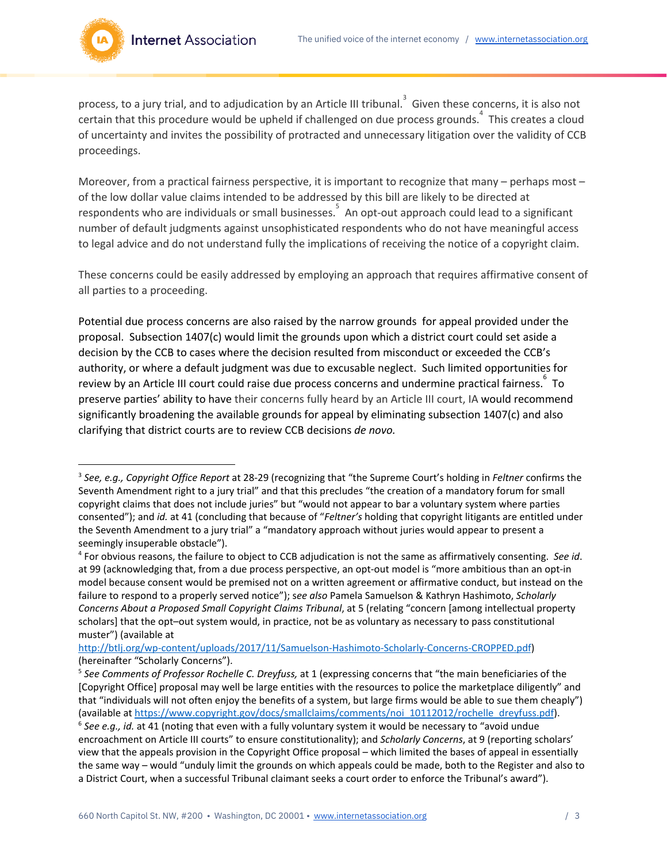

process, to a jury trial, and to adjudication by an Article III tribunal.  $\overline{S}$  Given these concerns, it is also not certain that this procedure would be upheld if challenged on due process grounds.<sup>4</sup> This creates a cloud of uncertainty and invites the possibility of protracted and unnecessary litigation over the validity of CCB proceedings.

Moreover, from a practical fairness perspective, it is important to recognize that many – perhaps most – of the low dollar value claims intended to be addressed by this bill are likely to be directed at respondents who are individuals or small businesses.  $\overline{S}$  An opt-out approach could lead to a significant number of default judgments against unsophisticated respondents who do not have meaningful access to legal advice and do not understand fully the implications of receiving the notice of a copyright claim.

These concerns could be easily addressed by employing an approach that requires affirmative consent of all parties to a proceeding.

Potential due process concerns are also raised by the narrow grounds for appeal provided under the proposal. Subsection 1407(c) would limit the grounds upon which a district court could set aside a decision by the CCB to cases where the decision resulted from misconduct or exceeded the CCB's authority, or where a default judgment was due to excusable neglect. Such limited opportunities for review by an Article III court could raise due process concerns and undermine practical fairness. To preserve parties' ability to have their concerns fully heard by an Article III court, IA would recommend significantly broadening the available grounds for appeal by eliminating subsection 1407(c) and also clarifying that district courts are to review CCB decisions *de novo.*

[http://btlj.org/wp-content/uploads/2017/11/Samuelson-Hashimoto-Scholarly-Concerns-CROPPED.pdf\)](http://btlj.org/wp-content/uploads/2017/11/Samuelson-Hashimoto-Scholarly-Concerns-CROPPED.pdf) (hereinafter "Scholarly Concerns").

<sup>3</sup> *See, e.g., Copyright Office Report* at 28-29 (recognizing that "the Supreme Court's holding in *Feltner* confirms the Seventh Amendment right to a jury trial" and that this precludes "the creation of a mandatory forum for small copyright claims that does not include juries" but "would not appear to bar a voluntary system where parties consented"); and *id.* at 41 (concluding that because of "*Feltner's* holding that copyright litigants are entitled under the Seventh Amendment to a jury trial" a "mandatory approach without juries would appear to present a seemingly insuperable obstacle").

<sup>4</sup> For obvious reasons, the failure to object to CCB adjudication is not the same as affirmatively consenting. *See id*. at 99 (acknowledging that, from a due process perspective, an opt-out model is "more ambitious than an opt-in model because consent would be premised not on a written agreement or affirmative conduct, but instead on the failure to respond to a properly served notice"); s*ee also* Pamela Samuelson & Kathryn Hashimoto, *Scholarly Concerns About a Proposed Small Copyright Claims Tribunal*, at 5 (relating "concern [among intellectual property scholars] that the opt–out system would, in practice, not be as voluntary as necessary to pass constitutional muster") (available at

<sup>5</sup> *See Comments of Professor Rochelle C. Dreyfuss,* at 1 (expressing concerns that "the main beneficiaries of the [Copyright Office] proposal may well be large entities with the resources to police the marketplace diligently" and that "individuals will not often enjoy the benefits of a system, but large firms would be able to sue them cheaply") (available at [https://www.copyright.gov/docs/smallclaims/comments/noi\\_10112012/rochelle\\_dreyfuss.pdf](https://www.copyright.gov/docs/smallclaims/comments/noi_10112012/rochelle_dreyfuss.pdf)).

<sup>6</sup> *See e.g., id.* at 41 (noting that even with a fully voluntary system it would be necessary to "avoid undue encroachment on Article III courts" to ensure constitutionality); and *Scholarly Concerns*, at 9 (reporting scholars' view that the appeals provision in the Copyright Office proposal – which limited the bases of appeal in essentially the same way – would "unduly limit the grounds on which appeals could be made, both to the Register and also to a District Court, when a successful Tribunal claimant seeks a court order to enforce the Tribunal's award").